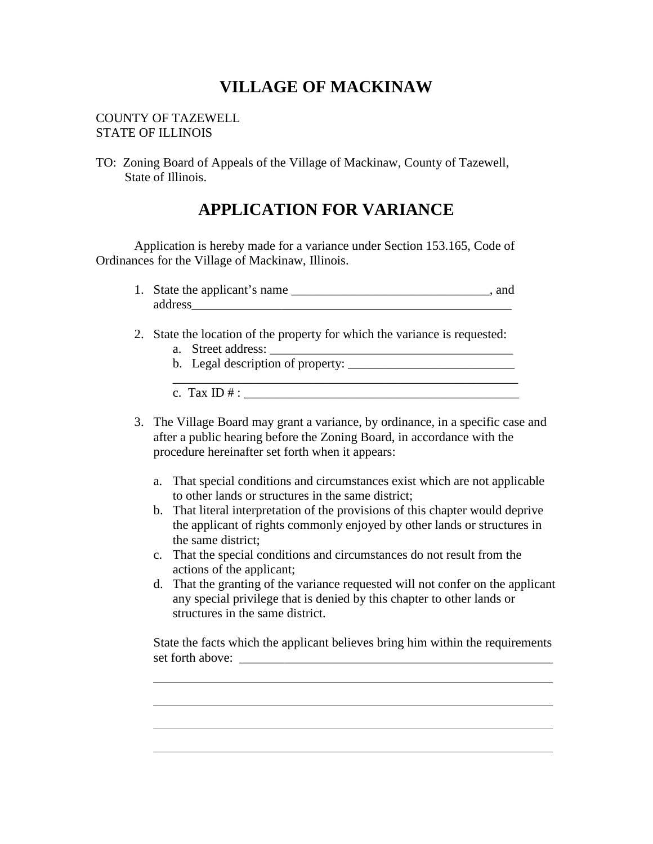## **VILLAGE OF MACKINAW**

## COUNTY OF TAZEWELL STATE OF ILLINOIS

TO: Zoning Board of Appeals of the Village of Mackinaw, County of Tazewell, State of Illinois.

## **APPLICATION FOR VARIANCE**

Application is hereby made for a variance under Section 153.165, Code of Ordinances for the Village of Mackinaw, Illinois.

- 1. State the applicant's name can consider the state of  $\alpha$ , and address\_\_\_\_\_\_\_\_\_\_\_\_\_\_\_\_\_\_\_\_\_\_\_\_\_\_\_\_\_\_\_\_\_\_\_\_\_\_\_\_\_\_\_\_\_\_\_\_\_\_
- 2. State the location of the property for which the variance is requested:
	- a. Street address: \_\_\_\_\_\_\_\_\_\_\_\_\_\_\_\_\_\_\_\_\_\_\_\_\_\_\_\_\_\_\_\_\_\_\_\_\_\_
	- b. Legal description of property: \_\_\_\_\_\_\_\_\_\_\_\_\_\_\_\_\_\_\_\_\_\_\_\_\_\_
	- c. Tax ID  $\#$  :

\_\_\_\_\_\_\_\_\_\_\_\_\_\_\_\_\_\_\_\_\_\_\_\_\_\_\_\_\_\_\_\_\_\_\_\_\_\_\_\_\_\_\_\_\_\_\_\_\_\_\_\_\_\_

- 3. The Village Board may grant a variance, by ordinance, in a specific case and after a public hearing before the Zoning Board, in accordance with the procedure hereinafter set forth when it appears:
	- a. That special conditions and circumstances exist which are not applicable to other lands or structures in the same district;
	- b. That literal interpretation of the provisions of this chapter would deprive the applicant of rights commonly enjoyed by other lands or structures in the same district;
	- c. That the special conditions and circumstances do not result from the actions of the applicant;
	- d. That the granting of the variance requested will not confer on the applicant any special privilege that is denied by this chapter to other lands or structures in the same district.

State the facts which the applicant believes bring him within the requirements set forth above: \_\_\_\_\_\_\_\_\_\_\_\_\_\_\_\_\_\_\_\_\_\_\_\_\_\_\_\_\_\_\_\_\_\_\_\_\_\_\_\_\_\_\_\_\_\_\_\_\_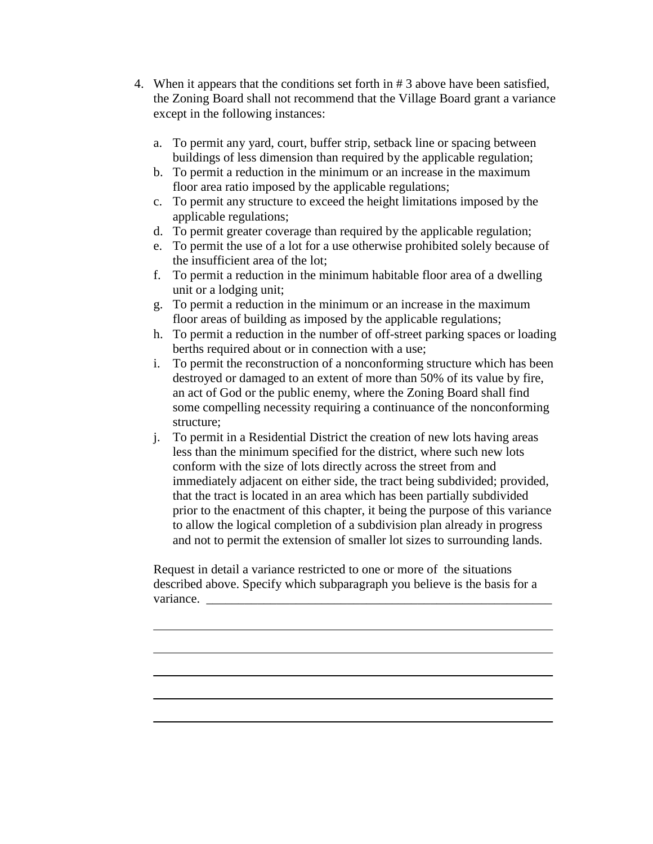- 4. When it appears that the conditions set forth in # 3 above have been satisfied, the Zoning Board shall not recommend that the Village Board grant a variance except in the following instances:
	- a. To permit any yard, court, buffer strip, setback line or spacing between buildings of less dimension than required by the applicable regulation;
	- b. To permit a reduction in the minimum or an increase in the maximum floor area ratio imposed by the applicable regulations;
	- c. To permit any structure to exceed the height limitations imposed by the applicable regulations;
	- d. To permit greater coverage than required by the applicable regulation;
	- e. To permit the use of a lot for a use otherwise prohibited solely because of the insufficient area of the lot;
	- f. To permit a reduction in the minimum habitable floor area of a dwelling unit or a lodging unit;
	- g. To permit a reduction in the minimum or an increase in the maximum floor areas of building as imposed by the applicable regulations;
	- h. To permit a reduction in the number of off-street parking spaces or loading berths required about or in connection with a use;
	- i. To permit the reconstruction of a nonconforming structure which has been destroyed or damaged to an extent of more than 50% of its value by fire, an act of God or the public enemy, where the Zoning Board shall find some compelling necessity requiring a continuance of the nonconforming structure;
	- j. To permit in a Residential District the creation of new lots having areas less than the minimum specified for the district, where such new lots conform with the size of lots directly across the street from and immediately adjacent on either side, the tract being subdivided; provided, that the tract is located in an area which has been partially subdivided prior to the enactment of this chapter, it being the purpose of this variance to allow the logical completion of a subdivision plan already in progress and not to permit the extension of smaller lot sizes to surrounding lands.

Request in detail a variance restricted to one or more of the situations described above. Specify which subparagraph you believe is the basis for a variance.